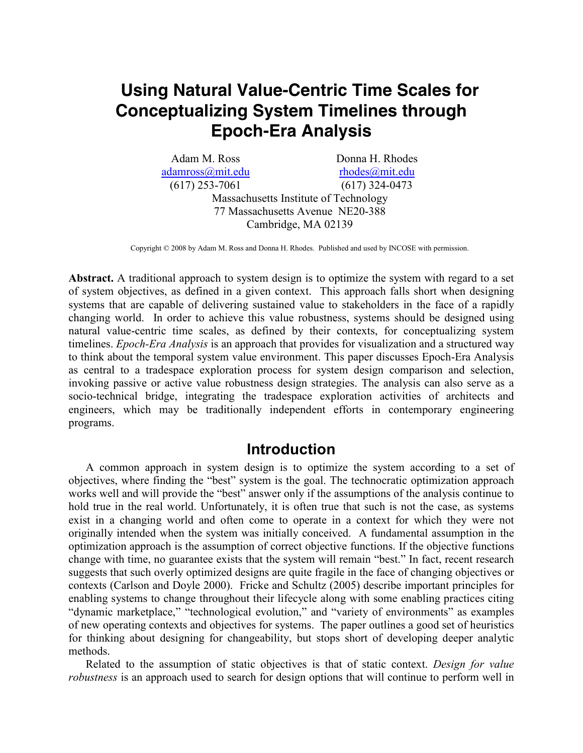# Using Natural Value-Centric Time Scales for Conceptualizing System Timelines through Epoch-Era Analysis

Adam M. Ross Donna H. Rhodes adamross@mit.edu rhodes@mit.edu (617) 253-7061 (617) 324-0473

Massachusetts Institute of Technology 77 Massachusetts Avenue NE20-388 Cambridge, MA 02139

Copyright © 2008 by Adam M. Ross and Donna H. Rhodes. Published and used by INCOSE with permission.

Abstract. A traditional approach to system design is to optimize the system with regard to a set of system objectives, as defined in a given context. This approach falls short when designing systems that are capable of delivering sustained value to stakeholders in the face of a rapidly changing world. In order to achieve this value robustness, systems should be designed using natural value-centric time scales, as defined by their contexts, for conceptualizing system timelines. Epoch-Era Analysis is an approach that provides for visualization and a structured way to think about the temporal system value environment. This paper discusses Epoch-Era Analysis as central to a tradespace exploration process for system design comparison and selection, invoking passive or active value robustness design strategies. The analysis can also serve as a socio-technical bridge, integrating the tradespace exploration activities of architects and engineers, which may be traditionally independent efforts in contemporary engineering programs.

### Introduction

A common approach in system design is to optimize the system according to a set of objectives, where finding the "best" system is the goal. The technocratic optimization approach works well and will provide the "best" answer only if the assumptions of the analysis continue to hold true in the real world. Unfortunately, it is often true that such is not the case, as systems exist in a changing world and often come to operate in a context for which they were not originally intended when the system was initially conceived. A fundamental assumption in the optimization approach is the assumption of correct objective functions. If the objective functions change with time, no guarantee exists that the system will remain "best." In fact, recent research suggests that such overly optimized designs are quite fragile in the face of changing objectives or contexts (Carlson and Doyle 2000). Fricke and Schultz (2005) describe important principles for enabling systems to change throughout their lifecycle along with some enabling practices citing "dynamic marketplace," "technological evolution," and "variety of environments" as examples of new operating contexts and objectives for systems. The paper outlines a good set of heuristics for thinking about designing for changeability, but stops short of developing deeper analytic methods.

Related to the assumption of static objectives is that of static context. Design for value robustness is an approach used to search for design options that will continue to perform well in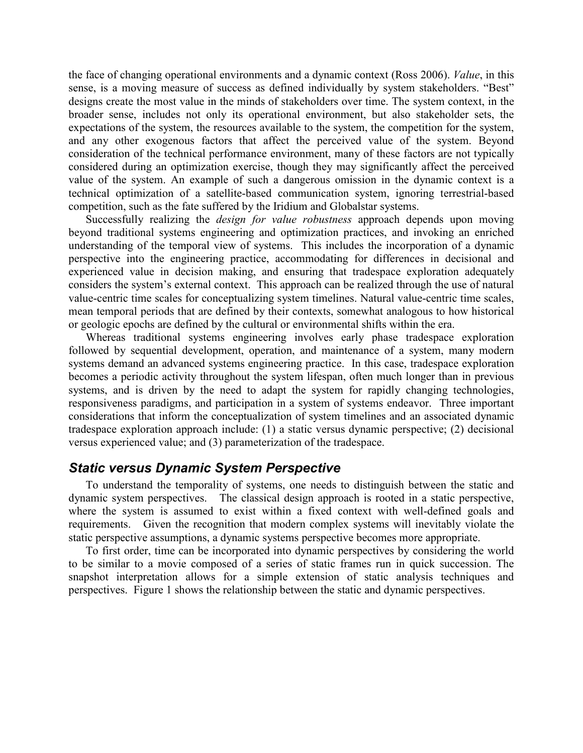the face of changing operational environments and a dynamic context (Ross 2006). Value, in this sense, is a moving measure of success as defined individually by system stakeholders. "Best" designs create the most value in the minds of stakeholders over time. The system context, in the broader sense, includes not only its operational environment, but also stakeholder sets, the expectations of the system, the resources available to the system, the competition for the system, and any other exogenous factors that affect the perceived value of the system. Beyond consideration of the technical performance environment, many of these factors are not typically considered during an optimization exercise, though they may significantly affect the perceived value of the system. An example of such a dangerous omission in the dynamic context is a technical optimization of a satellite-based communication system, ignoring terrestrial-based competition, such as the fate suffered by the Iridium and Globalstar systems.

Successfully realizing the *design for value robustness* approach depends upon moving beyond traditional systems engineering and optimization practices, and invoking an enriched understanding of the temporal view of systems. This includes the incorporation of a dynamic perspective into the engineering practice, accommodating for differences in decisional and experienced value in decision making, and ensuring that tradespace exploration adequately considers the system's external context. This approach can be realized through the use of natural value-centric time scales for conceptualizing system timelines. Natural value-centric time scales, mean temporal periods that are defined by their contexts, somewhat analogous to how historical or geologic epochs are defined by the cultural or environmental shifts within the era.

Whereas traditional systems engineering involves early phase tradespace exploration followed by sequential development, operation, and maintenance of a system, many modern systems demand an advanced systems engineering practice. In this case, tradespace exploration becomes a periodic activity throughout the system lifespan, often much longer than in previous systems, and is driven by the need to adapt the system for rapidly changing technologies, responsiveness paradigms, and participation in a system of systems endeavor. Three important considerations that inform the conceptualization of system timelines and an associated dynamic tradespace exploration approach include: (1) a static versus dynamic perspective; (2) decisional versus experienced value; and (3) parameterization of the tradespace.

#### Static versus Dynamic System Perspective

To understand the temporality of systems, one needs to distinguish between the static and dynamic system perspectives. The classical design approach is rooted in a static perspective, where the system is assumed to exist within a fixed context with well-defined goals and requirements. Given the recognition that modern complex systems will inevitably violate the static perspective assumptions, a dynamic systems perspective becomes more appropriate.

To first order, time can be incorporated into dynamic perspectives by considering the world to be similar to a movie composed of a series of static frames run in quick succession. The snapshot interpretation allows for a simple extension of static analysis techniques and perspectives. Figure 1 shows the relationship between the static and dynamic perspectives.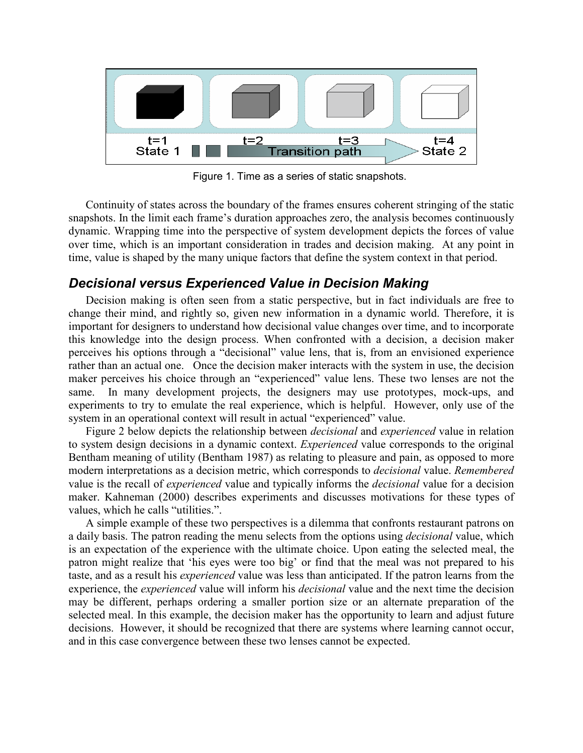

Figure 1. Time as a series of static snapshots.

Continuity of states across the boundary of the frames ensures coherent stringing of the static snapshots. In the limit each frame's duration approaches zero, the analysis becomes continuously dynamic. Wrapping time into the perspective of system development depicts the forces of value over time, which is an important consideration in trades and decision making. At any point in time, value is shaped by the many unique factors that define the system context in that period.

### Decisional versus Experienced Value in Decision Making

Decision making is often seen from a static perspective, but in fact individuals are free to change their mind, and rightly so, given new information in a dynamic world. Therefore, it is important for designers to understand how decisional value changes over time, and to incorporate this knowledge into the design process. When confronted with a decision, a decision maker perceives his options through a "decisional" value lens, that is, from an envisioned experience rather than an actual one. Once the decision maker interacts with the system in use, the decision maker perceives his choice through an "experienced" value lens. These two lenses are not the same. In many development projects, the designers may use prototypes, mock-ups, and experiments to try to emulate the real experience, which is helpful. However, only use of the system in an operational context will result in actual "experienced" value.

Figure 2 below depicts the relationship between *decisional* and *experienced* value in relation to system design decisions in a dynamic context. Experienced value corresponds to the original Bentham meaning of utility (Bentham 1987) as relating to pleasure and pain, as opposed to more modern interpretations as a decision metric, which corresponds to decisional value. Remembered value is the recall of experienced value and typically informs the decisional value for a decision maker. Kahneman (2000) describes experiments and discusses motivations for these types of values, which he calls "utilities.".

A simple example of these two perspectives is a dilemma that confronts restaurant patrons on a daily basis. The patron reading the menu selects from the options using *decisional* value, which is an expectation of the experience with the ultimate choice. Upon eating the selected meal, the patron might realize that 'his eyes were too big' or find that the meal was not prepared to his taste, and as a result his experienced value was less than anticipated. If the patron learns from the experience, the *experienced* value will inform his *decisional* value and the next time the decision may be different, perhaps ordering a smaller portion size or an alternate preparation of the selected meal. In this example, the decision maker has the opportunity to learn and adjust future decisions. However, it should be recognized that there are systems where learning cannot occur, and in this case convergence between these two lenses cannot be expected.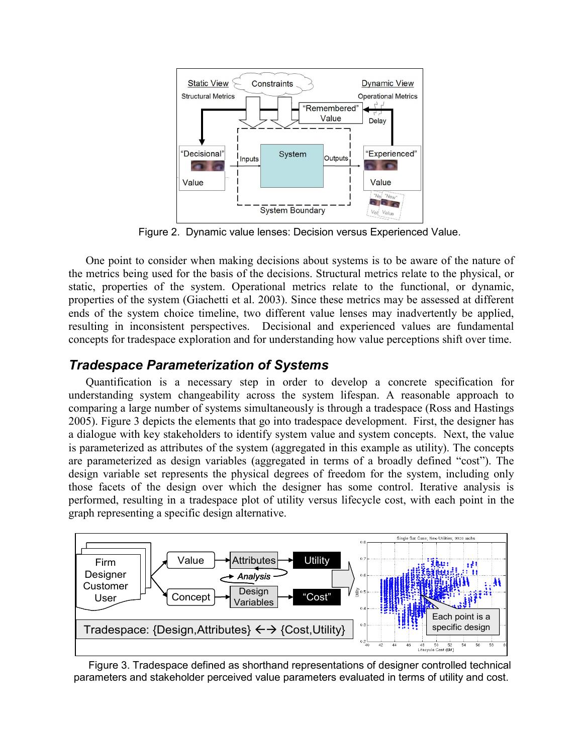

Figure 2. Dynamic value lenses: Decision versus Experienced Value.

One point to consider when making decisions about systems is to be aware of the nature of the metrics being used for the basis of the decisions. Structural metrics relate to the physical, or static, properties of the system. Operational metrics relate to the functional, or dynamic, properties of the system (Giachetti et al. 2003). Since these metrics may be assessed at different ends of the system choice timeline, two different value lenses may inadvertently be applied, resulting in inconsistent perspectives. Decisional and experienced values are fundamental concepts for tradespace exploration and for understanding how value perceptions shift over time.

### Tradespace Parameterization of Systems

Quantification is a necessary step in order to develop a concrete specification for understanding system changeability across the system lifespan. A reasonable approach to comparing a large number of systems simultaneously is through a tradespace (Ross and Hastings 2005). Figure 3 depicts the elements that go into tradespace development. First, the designer has a dialogue with key stakeholders to identify system value and system concepts. Next, the value is parameterized as attributes of the system (aggregated in this example as utility). The concepts are parameterized as design variables (aggregated in terms of a broadly defined "cost"). The design variable set represents the physical degrees of freedom for the system, including only those facets of the design over which the designer has some control. Iterative analysis is performed, resulting in a tradespace plot of utility versus lifecycle cost, with each point in the graph representing a specific design alternative.



Figure 3. Tradespace defined as shorthand representations of designer controlled technical parameters and stakeholder perceived value parameters evaluated in terms of utility and cost.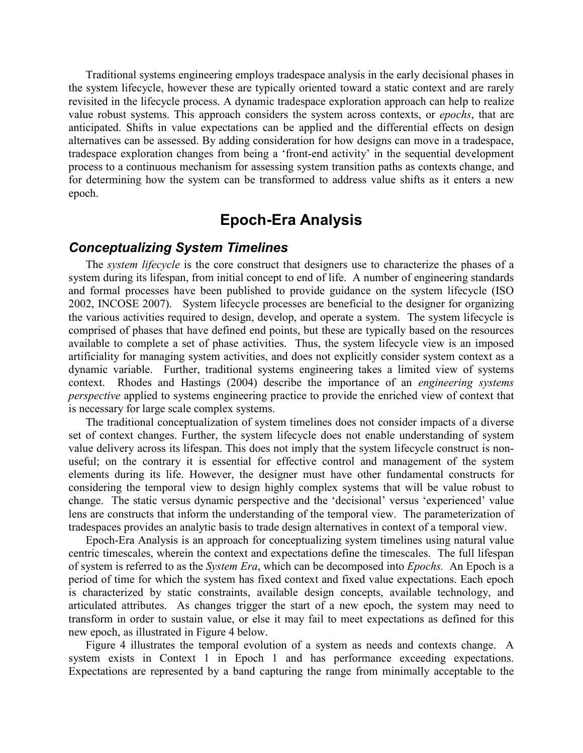Traditional systems engineering employs tradespace analysis in the early decisional phases in the system lifecycle, however these are typically oriented toward a static context and are rarely revisited in the lifecycle process. A dynamic tradespace exploration approach can help to realize value robust systems. This approach considers the system across contexts, or epochs, that are anticipated. Shifts in value expectations can be applied and the differential effects on design alternatives can be assessed. By adding consideration for how designs can move in a tradespace, tradespace exploration changes from being a 'front-end activity' in the sequential development process to a continuous mechanism for assessing system transition paths as contexts change, and for determining how the system can be transformed to address value shifts as it enters a new epoch.

# Epoch-Era Analysis

#### Conceptualizing System Timelines

The *system lifecycle* is the core construct that designers use to characterize the phases of a system during its lifespan, from initial concept to end of life. A number of engineering standards and formal processes have been published to provide guidance on the system lifecycle (ISO 2002, INCOSE 2007). System lifecycle processes are beneficial to the designer for organizing the various activities required to design, develop, and operate a system. The system lifecycle is comprised of phases that have defined end points, but these are typically based on the resources available to complete a set of phase activities. Thus, the system lifecycle view is an imposed artificiality for managing system activities, and does not explicitly consider system context as a dynamic variable. Further, traditional systems engineering takes a limited view of systems context. Rhodes and Hastings (2004) describe the importance of an engineering systems perspective applied to systems engineering practice to provide the enriched view of context that is necessary for large scale complex systems.

The traditional conceptualization of system timelines does not consider impacts of a diverse set of context changes. Further, the system lifecycle does not enable understanding of system value delivery across its lifespan. This does not imply that the system lifecycle construct is nonuseful; on the contrary it is essential for effective control and management of the system elements during its life. However, the designer must have other fundamental constructs for considering the temporal view to design highly complex systems that will be value robust to change. The static versus dynamic perspective and the 'decisional' versus 'experienced' value lens are constructs that inform the understanding of the temporal view. The parameterization of tradespaces provides an analytic basis to trade design alternatives in context of a temporal view.

Epoch-Era Analysis is an approach for conceptualizing system timelines using natural value centric timescales, wherein the context and expectations define the timescales. The full lifespan of system is referred to as the System Era, which can be decomposed into Epochs. An Epoch is a period of time for which the system has fixed context and fixed value expectations. Each epoch is characterized by static constraints, available design concepts, available technology, and articulated attributes. As changes trigger the start of a new epoch, the system may need to transform in order to sustain value, or else it may fail to meet expectations as defined for this new epoch, as illustrated in Figure 4 below.

Figure 4 illustrates the temporal evolution of a system as needs and contexts change. A system exists in Context 1 in Epoch 1 and has performance exceeding expectations. Expectations are represented by a band capturing the range from minimally acceptable to the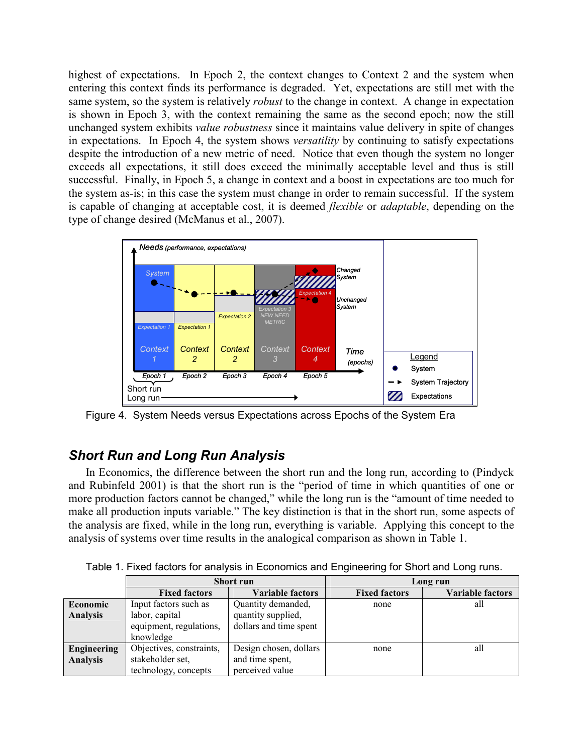highest of expectations. In Epoch 2, the context changes to Context 2 and the system when entering this context finds its performance is degraded. Yet, expectations are still met with the same system, so the system is relatively *robust* to the change in context. A change in expectation is shown in Epoch 3, with the context remaining the same as the second epoch; now the still unchanged system exhibits value robustness since it maintains value delivery in spite of changes in expectations. In Epoch 4, the system shows versatility by continuing to satisfy expectations despite the introduction of a new metric of need. Notice that even though the system no longer exceeds all expectations, it still does exceed the minimally acceptable level and thus is still successful. Finally, in Epoch 5, a change in context and a boost in expectations are too much for the system as-is; in this case the system must change in order to remain successful. If the system is capable of changing at acceptable cost, it is deemed flexible or adaptable, depending on the type of change desired (McManus et al., 2007).



Figure 4. System Needs versus Expectations across Epochs of the System Era

# Short Run and Long Run Analysis

In Economics, the difference between the short run and the long run, according to (Pindyck and Rubinfeld 2001) is that the short run is the "period of time in which quantities of one or more production factors cannot be changed," while the long run is the "amount of time needed to make all production inputs variable." The key distinction is that in the short run, some aspects of the analysis are fixed, while in the long run, everything is variable. Applying this concept to the analysis of systems over time results in the analogical comparison as shown in Table 1.

|                    | <b>Short</b> run         |                         | Long run             |                         |
|--------------------|--------------------------|-------------------------|----------------------|-------------------------|
|                    | <b>Fixed factors</b>     | <b>Variable factors</b> | <b>Fixed factors</b> | <b>Variable factors</b> |
| Economic           | Input factors such as    | Quantity demanded,      | none                 | all                     |
| <b>Analysis</b>    | labor, capital           | quantity supplied,      |                      |                         |
|                    | equipment, regulations,  | dollars and time spent  |                      |                         |
|                    | knowledge                |                         |                      |                         |
| <b>Engineering</b> | Objectives, constraints, | Design chosen, dollars  | none                 | all                     |
| <b>Analysis</b>    | stakeholder set,         | and time spent,         |                      |                         |
|                    | technology, concepts     | perceived value         |                      |                         |

Table 1. Fixed factors for analysis in Economics and Engineering for Short and Long runs.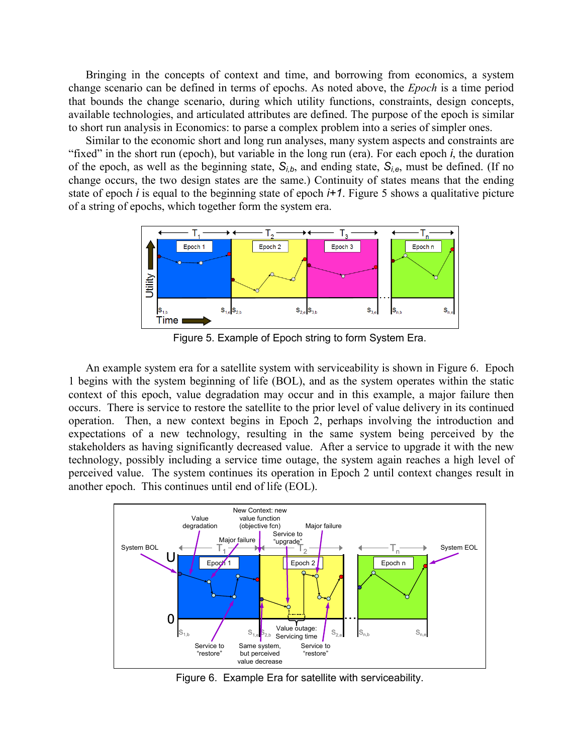Bringing in the concepts of context and time, and borrowing from economics, a system change scenario can be defined in terms of epochs. As noted above, the Epoch is a time period that bounds the change scenario, during which utility functions, constraints, design concepts, available technologies, and articulated attributes are defined. The purpose of the epoch is similar to short run analysis in Economics: to parse a complex problem into a series of simpler ones.

Similar to the economic short and long run analyses, many system aspects and constraints are "fixed" in the short run (epoch), but variable in the long run (era). For each epoch *i*, the duration of the epoch, as well as the beginning state,  $S_{i,b}$ , and ending state,  $S_{i,e}$ , must be defined. (If no change occurs, the two design states are the same.) Continuity of states means that the ending state of epoch *i* is equal to the beginning state of epoch  $i+1$ . Figure 5 shows a qualitative picture of a string of epochs, which together form the system era.



Figure 5. Example of Epoch string to form System Era.

An example system era for a satellite system with serviceability is shown in Figure 6. Epoch 1 begins with the system beginning of life (BOL), and as the system operates within the static context of this epoch, value degradation may occur and in this example, a major failure then occurs. There is service to restore the satellite to the prior level of value delivery in its continued operation. Then, a new context begins in Epoch 2, perhaps involving the introduction and expectations of a new technology, resulting in the same system being perceived by the stakeholders as having significantly decreased value. After a service to upgrade it with the new technology, possibly including a service time outage, the system again reaches a high level of perceived value. The system continues its operation in Epoch 2 until context changes result in another epoch. This continues until end of life (EOL).



Figure 6. Example Era for satellite with serviceability.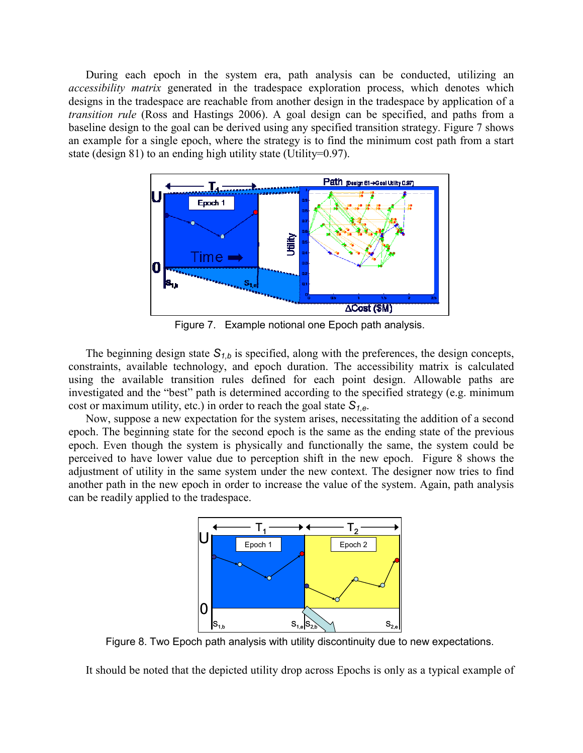During each epoch in the system era, path analysis can be conducted, utilizing an accessibility matrix generated in the tradespace exploration process, which denotes which designs in the tradespace are reachable from another design in the tradespace by application of a transition rule (Ross and Hastings 2006). A goal design can be specified, and paths from a baseline design to the goal can be derived using any specified transition strategy. Figure 7 shows an example for a single epoch, where the strategy is to find the minimum cost path from a start state (design 81) to an ending high utility state (Utility=0.97).



Figure 7. Example notional one Epoch path analysis.

The beginning design state  $S_{1,b}$  is specified, along with the preferences, the design concepts, constraints, available technology, and epoch duration. The accessibility matrix is calculated using the available transition rules defined for each point design. Allowable paths are investigated and the "best" path is determined according to the specified strategy (e.g. minimum cost or maximum utility, etc.) in order to reach the goal state  $S_{1,e}$ .

Now, suppose a new expectation for the system arises, necessitating the addition of a second epoch. The beginning state for the second epoch is the same as the ending state of the previous epoch. Even though the system is physically and functionally the same, the system could be perceived to have lower value due to perception shift in the new epoch. Figure 8 shows the adjustment of utility in the same system under the new context. The designer now tries to find another path in the new epoch in order to increase the value of the system. Again, path analysis can be readily applied to the tradespace.



Figure 8. Two Epoch path analysis with utility discontinuity due to new expectations.

It should be noted that the depicted utility drop across Epochs is only as a typical example of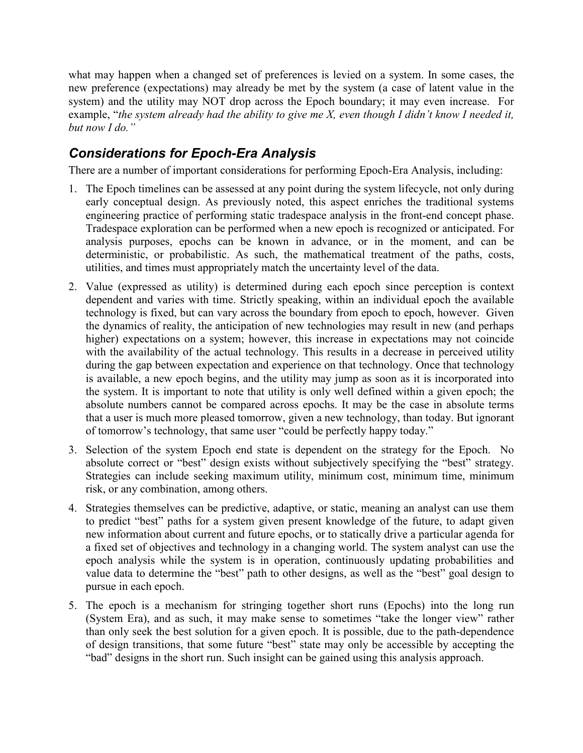what may happen when a changed set of preferences is levied on a system. In some cases, the new preference (expectations) may already be met by the system (a case of latent value in the system) and the utility may NOT drop across the Epoch boundary; it may even increase. For example, "the system already had the ability to give me X, even though I didn't know I needed it, but now I do."

# Considerations for Epoch-Era Analysis

There are a number of important considerations for performing Epoch-Era Analysis, including:

- 1. The Epoch timelines can be assessed at any point during the system lifecycle, not only during early conceptual design. As previously noted, this aspect enriches the traditional systems engineering practice of performing static tradespace analysis in the front-end concept phase. Tradespace exploration can be performed when a new epoch is recognized or anticipated. For analysis purposes, epochs can be known in advance, or in the moment, and can be deterministic, or probabilistic. As such, the mathematical treatment of the paths, costs, utilities, and times must appropriately match the uncertainty level of the data.
- 2. Value (expressed as utility) is determined during each epoch since perception is context dependent and varies with time. Strictly speaking, within an individual epoch the available technology is fixed, but can vary across the boundary from epoch to epoch, however. Given the dynamics of reality, the anticipation of new technologies may result in new (and perhaps higher) expectations on a system; however, this increase in expectations may not coincide with the availability of the actual technology. This results in a decrease in perceived utility during the gap between expectation and experience on that technology. Once that technology is available, a new epoch begins, and the utility may jump as soon as it is incorporated into the system. It is important to note that utility is only well defined within a given epoch; the absolute numbers cannot be compared across epochs. It may be the case in absolute terms that a user is much more pleased tomorrow, given a new technology, than today. But ignorant of tomorrow's technology, that same user "could be perfectly happy today."
- 3. Selection of the system Epoch end state is dependent on the strategy for the Epoch. No absolute correct or "best" design exists without subjectively specifying the "best" strategy. Strategies can include seeking maximum utility, minimum cost, minimum time, minimum risk, or any combination, among others.
- 4. Strategies themselves can be predictive, adaptive, or static, meaning an analyst can use them to predict "best" paths for a system given present knowledge of the future, to adapt given new information about current and future epochs, or to statically drive a particular agenda for a fixed set of objectives and technology in a changing world. The system analyst can use the epoch analysis while the system is in operation, continuously updating probabilities and value data to determine the "best" path to other designs, as well as the "best" goal design to pursue in each epoch.
- 5. The epoch is a mechanism for stringing together short runs (Epochs) into the long run (System Era), and as such, it may make sense to sometimes "take the longer view" rather than only seek the best solution for a given epoch. It is possible, due to the path-dependence of design transitions, that some future "best" state may only be accessible by accepting the "bad" designs in the short run. Such insight can be gained using this analysis approach.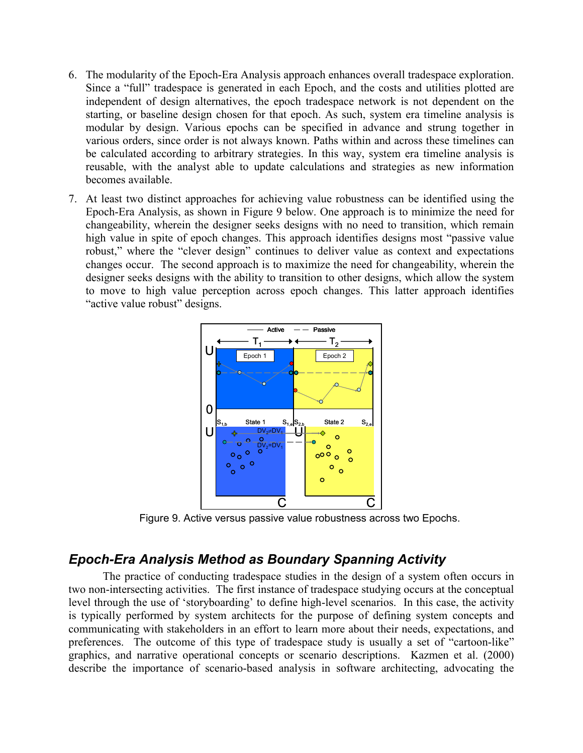- 6. The modularity of the Epoch-Era Analysis approach enhances overall tradespace exploration. Since a "full" tradespace is generated in each Epoch, and the costs and utilities plotted are independent of design alternatives, the epoch tradespace network is not dependent on the starting, or baseline design chosen for that epoch. As such, system era timeline analysis is modular by design. Various epochs can be specified in advance and strung together in various orders, since order is not always known. Paths within and across these timelines can be calculated according to arbitrary strategies. In this way, system era timeline analysis is reusable, with the analyst able to update calculations and strategies as new information becomes available.
- 7. At least two distinct approaches for achieving value robustness can be identified using the Epoch-Era Analysis, as shown in Figure 9 below. One approach is to minimize the need for changeability, wherein the designer seeks designs with no need to transition, which remain high value in spite of epoch changes. This approach identifies designs most "passive value robust," where the "clever design" continues to deliver value as context and expectations changes occur. The second approach is to maximize the need for changeability, wherein the designer seeks designs with the ability to transition to other designs, which allow the system to move to high value perception across epoch changes. This latter approach identifies "active value robust" designs.



Figure 9. Active versus passive value robustness across two Epochs.

# Epoch-Era Analysis Method as Boundary Spanning Activity

The practice of conducting tradespace studies in the design of a system often occurs in two non-intersecting activities. The first instance of tradespace studying occurs at the conceptual level through the use of 'storyboarding' to define high-level scenarios. In this case, the activity is typically performed by system architects for the purpose of defining system concepts and communicating with stakeholders in an effort to learn more about their needs, expectations, and preferences. The outcome of this type of tradespace study is usually a set of "cartoon-like" graphics, and narrative operational concepts or scenario descriptions. Kazmen et al. (2000) describe the importance of scenario-based analysis in software architecting, advocating the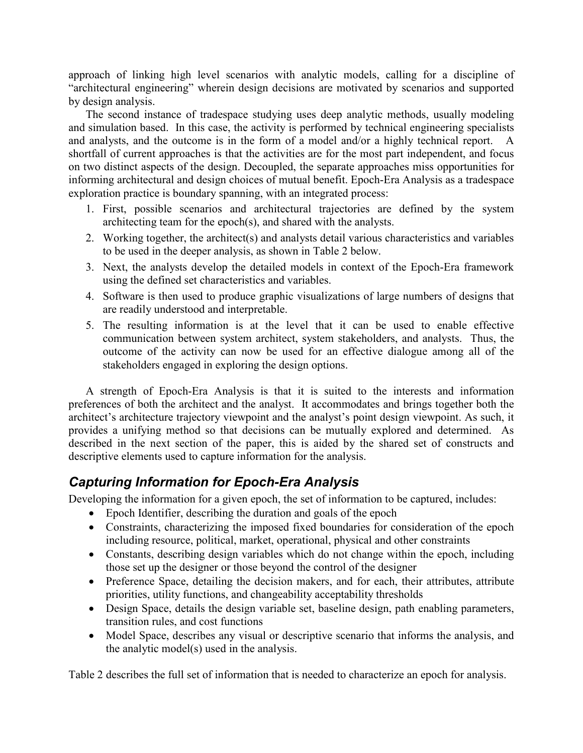approach of linking high level scenarios with analytic models, calling for a discipline of "architectural engineering" wherein design decisions are motivated by scenarios and supported by design analysis.

The second instance of tradespace studying uses deep analytic methods, usually modeling and simulation based. In this case, the activity is performed by technical engineering specialists and analysts, and the outcome is in the form of a model and/or a highly technical report. A shortfall of current approaches is that the activities are for the most part independent, and focus on two distinct aspects of the design. Decoupled, the separate approaches miss opportunities for informing architectural and design choices of mutual benefit. Epoch-Era Analysis as a tradespace exploration practice is boundary spanning, with an integrated process:

- 1. First, possible scenarios and architectural trajectories are defined by the system architecting team for the epoch(s), and shared with the analysts.
- 2. Working together, the architect(s) and analysts detail various characteristics and variables to be used in the deeper analysis, as shown in Table 2 below.
- 3. Next, the analysts develop the detailed models in context of the Epoch-Era framework using the defined set characteristics and variables.
- 4. Software is then used to produce graphic visualizations of large numbers of designs that are readily understood and interpretable.
- 5. The resulting information is at the level that it can be used to enable effective communication between system architect, system stakeholders, and analysts. Thus, the outcome of the activity can now be used for an effective dialogue among all of the stakeholders engaged in exploring the design options.

A strength of Epoch-Era Analysis is that it is suited to the interests and information preferences of both the architect and the analyst. It accommodates and brings together both the architect's architecture trajectory viewpoint and the analyst's point design viewpoint. As such, it provides a unifying method so that decisions can be mutually explored and determined. As described in the next section of the paper, this is aided by the shared set of constructs and descriptive elements used to capture information for the analysis.

# Capturing Information for Epoch-Era Analysis

Developing the information for a given epoch, the set of information to be captured, includes:

- Epoch Identifier, describing the duration and goals of the epoch
- Constraints, characterizing the imposed fixed boundaries for consideration of the epoch including resource, political, market, operational, physical and other constraints
- Constants, describing design variables which do not change within the epoch, including those set up the designer or those beyond the control of the designer
- Preference Space, detailing the decision makers, and for each, their attributes, attribute priorities, utility functions, and changeability acceptability thresholds
- Design Space, details the design variable set, baseline design, path enabling parameters, transition rules, and cost functions
- Model Space, describes any visual or descriptive scenario that informs the analysis, and the analytic model(s) used in the analysis.

Table 2 describes the full set of information that is needed to characterize an epoch for analysis.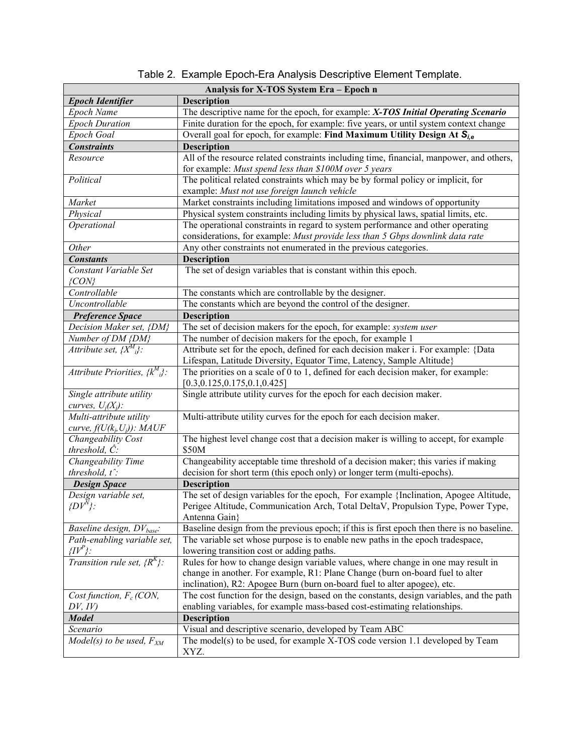|  | Table 2. Example Epoch-Era Analysis Descriptive Element Template. |  |
|--|-------------------------------------------------------------------|--|
|  |                                                                   |  |

|                                                      | Analysis for X-TOS System Era - Epoch n                                                                                                                     |  |  |
|------------------------------------------------------|-------------------------------------------------------------------------------------------------------------------------------------------------------------|--|--|
| <b>Epoch Identifier</b>                              | <b>Description</b>                                                                                                                                          |  |  |
| <b>Epoch Name</b>                                    | The descriptive name for the epoch, for example: X-TOS Initial Operating Scenario                                                                           |  |  |
| <b>Epoch Duration</b>                                | Finite duration for the epoch, for example: five years, or until system context change                                                                      |  |  |
| Epoch Goal                                           | Overall goal for epoch, for example: Find Maximum Utility Design At $S_{i,e}$                                                                               |  |  |
| <b>Constraints</b>                                   | <b>Description</b>                                                                                                                                          |  |  |
| Resource                                             | All of the resource related constraints including time, financial, manpower, and others,                                                                    |  |  |
|                                                      | for example: Must spend less than \$100M over 5 years                                                                                                       |  |  |
| Political                                            | The political related constraints which may be by formal policy or implicit, for                                                                            |  |  |
|                                                      | example: Must not use foreign launch vehicle                                                                                                                |  |  |
| Market                                               | Market constraints including limitations imposed and windows of opportunity                                                                                 |  |  |
| Physical                                             | Physical system constraints including limits by physical laws, spatial limits, etc.                                                                         |  |  |
| Operational                                          | The operational constraints in regard to system performance and other operating                                                                             |  |  |
|                                                      | considerations, for example: Must provide less than 5 Gbps downlink data rate                                                                               |  |  |
| Other                                                | Any other constraints not enumerated in the previous categories.                                                                                            |  |  |
| <b>Constants</b>                                     | <b>Description</b>                                                                                                                                          |  |  |
| Constant Variable Set                                | The set of design variables that is constant within this epoch.                                                                                             |  |  |
| {CON}                                                |                                                                                                                                                             |  |  |
| Controllable                                         | The constants which are controllable by the designer.                                                                                                       |  |  |
| Uncontrollable                                       | The constants which are beyond the control of the designer.                                                                                                 |  |  |
| <b>Preference Space</b>                              |                                                                                                                                                             |  |  |
|                                                      | Description                                                                                                                                                 |  |  |
| Decision Maker set, {DM}                             | The set of decision makers for the epoch, for example: system user                                                                                          |  |  |
| Number of DM {DM}                                    | The number of decision makers for the epoch, for example 1                                                                                                  |  |  |
| Attribute set, $\{X^{M}\}_{i}$ :                     | Attribute set for the epoch, defined for each decision maker i. For example: {Data                                                                          |  |  |
| Attribute Priorities, $\{k^M_{ij}\}$ .               | Lifespan, Latitude Diversity, Equator Time, Latency, Sample Altitude}<br>The priorities on a scale of 0 to 1, defined for each decision maker, for example: |  |  |
|                                                      |                                                                                                                                                             |  |  |
| Single attribute utility                             | [0.3, 0.125, 0.175, 0.1, 0.425]<br>Single attribute utility curves for the epoch for each decision maker.                                                   |  |  |
|                                                      |                                                                                                                                                             |  |  |
| curves, $U_i(X_i)$ :<br>Multi-attribute utility      |                                                                                                                                                             |  |  |
|                                                      | Multi-attribute utility curves for the epoch for each decision maker.                                                                                       |  |  |
| curve, $f(U(k_i, U_i))$ : MAUF<br>Changeability Cost | The highest level change cost that a decision maker is willing to accept, for example                                                                       |  |  |
| threshold, $\hat{C}$ :                               | \$50M                                                                                                                                                       |  |  |
| Changeability Time                                   | Changeability acceptable time threshold of a decision maker; this varies if making                                                                          |  |  |
| threshold, $t^{\hat{}}$ :                            | decision for short term (this epoch only) or longer term (multi-epochs).                                                                                    |  |  |
| <b>Design Space</b>                                  | Description                                                                                                                                                 |  |  |
| Design variable set,                                 | The set of design variables for the epoch, For example {Inclination, Apogee Altitude,                                                                       |  |  |
| $\{DV^N\}$ :                                         | Perigee Altitude, Communication Arch, Total DeltaV, Propulsion Type, Power Type,                                                                            |  |  |
|                                                      | Antenna Gain}                                                                                                                                               |  |  |
| Baseline design, $DV_{base}$ :                       | Baseline design from the previous epoch; if this is first epoch then there is no baseline.                                                                  |  |  |
| Path-enabling variable set,                          | The variable set whose purpose is to enable new paths in the epoch tradespace,                                                                              |  |  |
| $\{IV^P\}$ :                                         | lowering transition cost or adding paths.                                                                                                                   |  |  |
| Transition rule set, $\{R^{K}\}$ :                   | Rules for how to change design variable values, where change in one may result in                                                                           |  |  |
|                                                      | change in another. For example, R1: Plane Change (burn on-board fuel to alter                                                                               |  |  |
|                                                      | inclination), R2: Apogee Burn (burn on-board fuel to alter apogee), etc.                                                                                    |  |  |
| Cost function, $F_c$ (CON,                           | The cost function for the design, based on the constants, design variables, and the path                                                                    |  |  |
| DV, IV                                               | enabling variables, for example mass-based cost-estimating relationships.                                                                                   |  |  |
| <b>Model</b>                                         | Description                                                                                                                                                 |  |  |
| Scenario                                             | Visual and descriptive scenario, developed by Team ABC                                                                                                      |  |  |
| Model(s) to be used, $F_{XM}$                        | The model(s) to be used, for example X-TOS code version 1.1 developed by Team                                                                               |  |  |
|                                                      | XYZ.                                                                                                                                                        |  |  |
|                                                      |                                                                                                                                                             |  |  |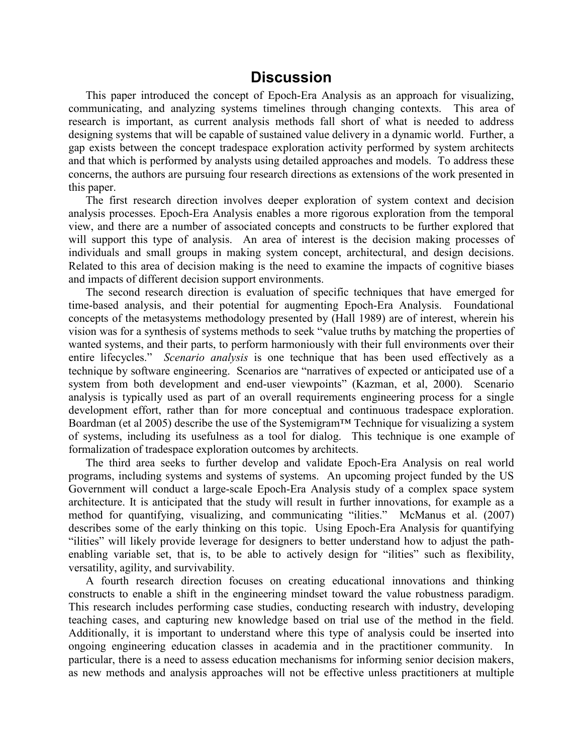## **Discussion**

This paper introduced the concept of Epoch-Era Analysis as an approach for visualizing, communicating, and analyzing systems timelines through changing contexts. This area of research is important, as current analysis methods fall short of what is needed to address designing systems that will be capable of sustained value delivery in a dynamic world. Further, a gap exists between the concept tradespace exploration activity performed by system architects and that which is performed by analysts using detailed approaches and models. To address these concerns, the authors are pursuing four research directions as extensions of the work presented in this paper.

The first research direction involves deeper exploration of system context and decision analysis processes. Epoch-Era Analysis enables a more rigorous exploration from the temporal view, and there are a number of associated concepts and constructs to be further explored that will support this type of analysis. An area of interest is the decision making processes of individuals and small groups in making system concept, architectural, and design decisions. Related to this area of decision making is the need to examine the impacts of cognitive biases and impacts of different decision support environments.

The second research direction is evaluation of specific techniques that have emerged for time-based analysis, and their potential for augmenting Epoch-Era Analysis. Foundational concepts of the metasystems methodology presented by (Hall 1989) are of interest, wherein his vision was for a synthesis of systems methods to seek "value truths by matching the properties of wanted systems, and their parts, to perform harmoniously with their full environments over their entire lifecycles." Scenario analysis is one technique that has been used effectively as a technique by software engineering. Scenarios are "narratives of expected or anticipated use of a system from both development and end-user viewpoints" (Kazman, et al, 2000). Scenario analysis is typically used as part of an overall requirements engineering process for a single development effort, rather than for more conceptual and continuous tradespace exploration. Boardman (et al 2005) describe the use of the Systemigram™ Technique for visualizing a system of systems, including its usefulness as a tool for dialog. This technique is one example of formalization of tradespace exploration outcomes by architects.

The third area seeks to further develop and validate Epoch-Era Analysis on real world programs, including systems and systems of systems. An upcoming project funded by the US Government will conduct a large-scale Epoch-Era Analysis study of a complex space system architecture. It is anticipated that the study will result in further innovations, for example as a method for quantifying, visualizing, and communicating "ilities." McManus et al. (2007) describes some of the early thinking on this topic. Using Epoch-Era Analysis for quantifying "ilities" will likely provide leverage for designers to better understand how to adjust the pathenabling variable set, that is, to be able to actively design for "ilities" such as flexibility, versatility, agility, and survivability.

A fourth research direction focuses on creating educational innovations and thinking constructs to enable a shift in the engineering mindset toward the value robustness paradigm. This research includes performing case studies, conducting research with industry, developing teaching cases, and capturing new knowledge based on trial use of the method in the field. Additionally, it is important to understand where this type of analysis could be inserted into ongoing engineering education classes in academia and in the practitioner community. In particular, there is a need to assess education mechanisms for informing senior decision makers, as new methods and analysis approaches will not be effective unless practitioners at multiple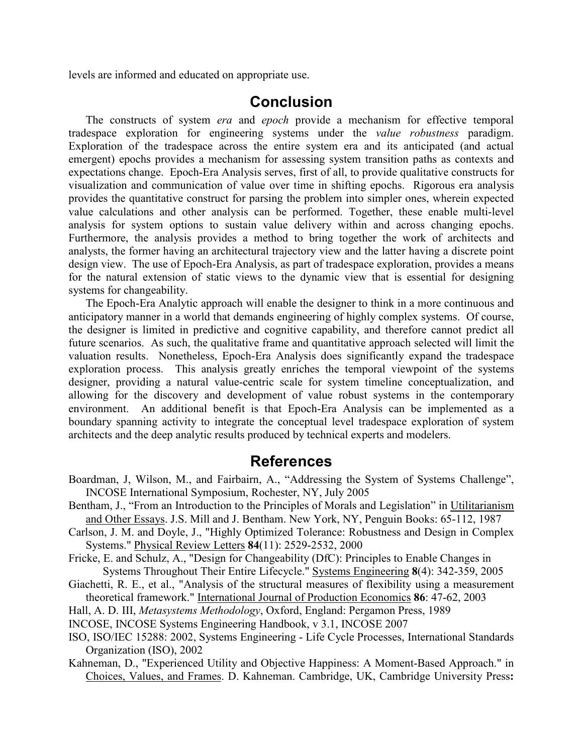levels are informed and educated on appropriate use.

## **Conclusion**

The constructs of system *era* and *epoch* provide a mechanism for effective temporal tradespace exploration for engineering systems under the value robustness paradigm. Exploration of the tradespace across the entire system era and its anticipated (and actual emergent) epochs provides a mechanism for assessing system transition paths as contexts and expectations change. Epoch-Era Analysis serves, first of all, to provide qualitative constructs for visualization and communication of value over time in shifting epochs. Rigorous era analysis provides the quantitative construct for parsing the problem into simpler ones, wherein expected value calculations and other analysis can be performed. Together, these enable multi-level analysis for system options to sustain value delivery within and across changing epochs. Furthermore, the analysis provides a method to bring together the work of architects and analysts, the former having an architectural trajectory view and the latter having a discrete point design view. The use of Epoch-Era Analysis, as part of tradespace exploration, provides a means for the natural extension of static views to the dynamic view that is essential for designing systems for changeability.

The Epoch-Era Analytic approach will enable the designer to think in a more continuous and anticipatory manner in a world that demands engineering of highly complex systems. Of course, the designer is limited in predictive and cognitive capability, and therefore cannot predict all future scenarios. As such, the qualitative frame and quantitative approach selected will limit the valuation results. Nonetheless, Epoch-Era Analysis does significantly expand the tradespace exploration process. This analysis greatly enriches the temporal viewpoint of the systems designer, providing a natural value-centric scale for system timeline conceptualization, and allowing for the discovery and development of value robust systems in the contemporary environment. An additional benefit is that Epoch-Era Analysis can be implemented as a boundary spanning activity to integrate the conceptual level tradespace exploration of system architects and the deep analytic results produced by technical experts and modelers.

### References

- Boardman, J, Wilson, M., and Fairbairn, A., "Addressing the System of Systems Challenge", INCOSE International Symposium, Rochester, NY, July 2005
- Bentham, J., "From an Introduction to the Principles of Morals and Legislation" in Utilitarianism and Other Essays. J.S. Mill and J. Bentham. New York, NY, Penguin Books: 65-112, 1987

Carlson, J. M. and Doyle, J., "Highly Optimized Tolerance: Robustness and Design in Complex Systems." Physical Review Letters 84(11): 2529-2532, 2000

Fricke, E. and Schulz, A., "Design for Changeability (DfC): Principles to Enable Changes in Systems Throughout Their Entire Lifecycle." Systems Engineering 8(4): 342-359, 2005

Giachetti, R. E., et al., "Analysis of the structural measures of flexibility using a measurement theoretical framework." International Journal of Production Economics 86: 47-62, 2003

Hall, A. D. III, Metasystems Methodology, Oxford, England: Pergamon Press, 1989

INCOSE, INCOSE Systems Engineering Handbook, v 3.1, INCOSE 2007

ISO, ISO/IEC 15288: 2002, Systems Engineering - Life Cycle Processes, International Standards Organization (ISO), 2002

Kahneman, D., "Experienced Utility and Objective Happiness: A Moment-Based Approach." in Choices, Values, and Frames. D. Kahneman. Cambridge, UK, Cambridge University Press: